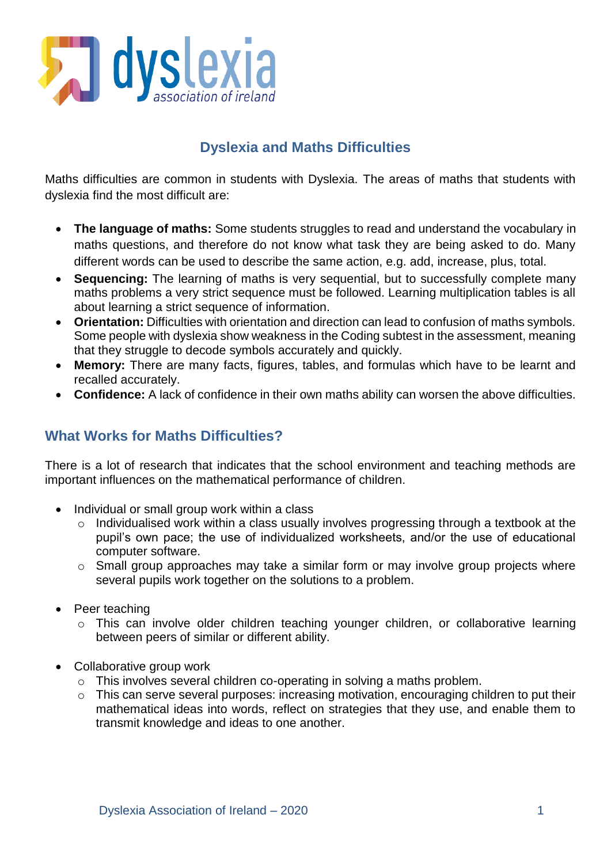

# **Dyslexia and Maths Difficulties**

Maths difficulties are common in students with Dyslexia. The areas of maths that students with dyslexia find the most difficult are:

- **The language of maths:** Some students struggles to read and understand the vocabulary in maths questions, and therefore do not know what task they are being asked to do. Many different words can be used to describe the same action, e.g. add, increase, plus, total.
- **Sequencing:** The learning of maths is very sequential, but to successfully complete many maths problems a very strict sequence must be followed. Learning multiplication tables is all about learning a strict sequence of information.
- **Orientation:** Difficulties with orientation and direction can lead to confusion of maths symbols. Some people with dyslexia show weakness in the Coding subtest in the assessment, meaning that they struggle to decode symbols accurately and quickly.
- **Memory:** There are many facts, figures, tables, and formulas which have to be learnt and recalled accurately.
- **Confidence:** A lack of confidence in their own maths ability can worsen the above difficulties.

### **What Works for Maths Difficulties?**

There is a lot of research that indicates that the school environment and teaching methods are important influences on the mathematical performance of children.

- Individual or small group work within a class
	- o Individualised work within a class usually involves progressing through a textbook at the pupil's own pace; the use of individualized worksheets, and/or the use of educational computer software.
	- o Small group approaches may take a similar form or may involve group projects where several pupils work together on the solutions to a problem.
- Peer teaching
	- o This can involve older children teaching younger children, or collaborative learning between peers of similar or different ability.
- Collaborative group work
	- o This involves several children co-operating in solving a maths problem.
	- o This can serve several purposes: increasing motivation, encouraging children to put their mathematical ideas into words, reflect on strategies that they use, and enable them to transmit knowledge and ideas to one another.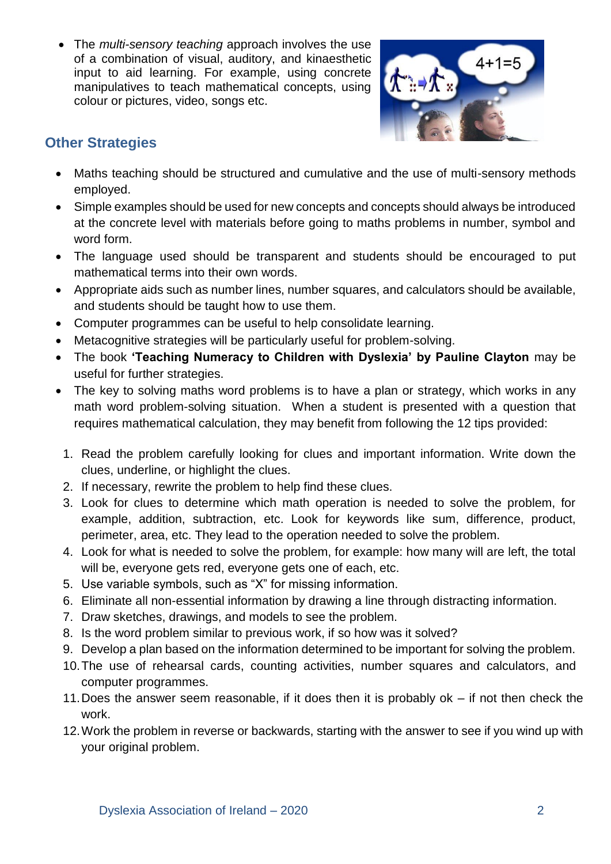The *multi-sensory teaching* approach involves the use of a combination of visual, auditory, and kinaesthetic input to aid learning. For example, using concrete manipulatives to teach mathematical concepts, using colour or pictures, video, songs etc.



### **Other Strategies**

- Maths teaching should be structured and cumulative and the use of multi-sensory methods employed.
- Simple examples should be used for new concepts and concepts should always be introduced at the concrete level with materials before going to maths problems in number, symbol and word form.
- The language used should be transparent and students should be encouraged to put mathematical terms into their own words.
- Appropriate aids such as number lines, number squares, and calculators should be available, and students should be taught how to use them.
- Computer programmes can be useful to help consolidate learning.
- Metacognitive strategies will be particularly useful for problem-solving.
- The book **'Teaching Numeracy to Children with Dyslexia' by Pauline Clayton** may be useful for further strategies.
- The key to solving maths word problems is to have a plan or strategy, which works in any math word problem-solving situation. When a student is presented with a question that requires mathematical calculation, they may benefit from following the 12 tips provided:
	- 1. Read the problem carefully looking for clues and important information. Write down the clues, underline, or highlight the clues.
	- 2. If necessary, rewrite the problem to help find these clues.
	- 3. Look for clues to determine which math operation is needed to solve the problem, for example, addition, subtraction, etc. Look for keywords like sum, difference, product, perimeter, area, etc. They lead to the operation needed to solve the problem.
	- 4. Look for what is needed to solve the problem, for example: how many will are left, the total will be, everyone gets red, everyone gets one of each, etc.
	- 5. Use variable symbols, such as "X" for missing information.
	- 6. Eliminate all non-essential information by drawing a line through distracting information.
	- 7. Draw sketches, drawings, and models to see the problem.
	- 8. Is the word problem similar to previous work, if so how was it solved?
	- 9. Develop a plan based on the information determined to be important for solving the problem.
	- 10.The use of rehearsal cards, counting activities, number squares and calculators, and computer programmes.
	- 11.Does the answer seem reasonable, if it does then it is probably ok if not then check the work.
	- 12.Work the problem in reverse or backwards, starting with the answer to see if you wind up with your original problem.